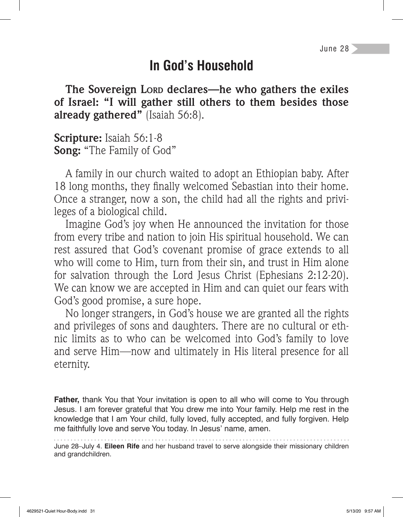## **In God's Household**

**The Sovereign LORD declares—he who gathers the exiles of Israel: "I will gather still others to them besides those already gathered"** (Isaiah 56:8).

**Scripture:** Isaiah 56:1-8 **Song:** "The Family of God"

A family in our church waited to adopt an Ethiopian baby. After 18 long months, they finally welcomed Sebastian into their home. Once a stranger, now a son, the child had all the rights and privileges of a biological child.

Imagine God's joy when He announced the invitation for those from every tribe and nation to join His spiritual household. We can rest assured that God's covenant promise of grace extends to all who will come to Him, turn from their sin, and trust in Him alone for salvation through the Lord Jesus Christ (Ephesians 2:12-20). We can know we are accepted in Him and can quiet our fears with God's good promise, a sure hope.

No longer strangers, in God's house we are granted all the rights and privileges of sons and daughters. There are no cultural or ethnic limits as to who can be welcomed into God's family to love and serve Him—now and ultimately in His literal presence for all eternity.

**Father,** thank You that Your invitation is open to all who will come to You through Jesus. I am forever grateful that You drew me into Your family. Help me rest in the knowledge that I am Your child, fully loved, fully accepted, and fully forgiven. Help me faithfully love and serve You today. In Jesus' name, amen.

June 28–July 4. **Eileen Rife** and her husband travel to serve alongside their missionary children and grandchildren.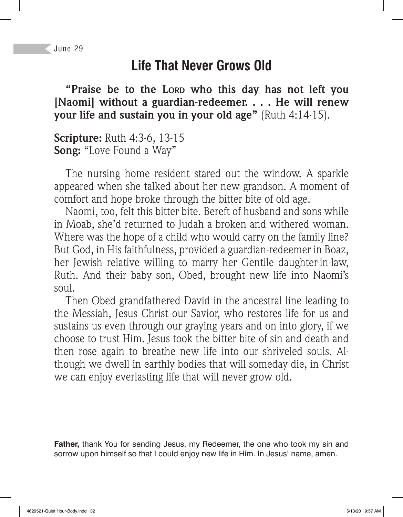## **Life That Never Grows Old**

**"Praise be to the LORD who this day has not left you [Naomi] without a guardian-redeemer. . . . He will renew your life and sustain you in your old age"** (Ruth 4:14-15).

**Scripture:** Ruth 4:3-6, 13-15 **Song:** "Love Found a Way"

The nursing home resident stared out the window. A sparkle appeared when she talked about her new grandson. A moment of comfort and hope broke through the bitter bite of old age.

Naomi, too, felt this bitter bite. Bereft of husband and sons while in Moab, she'd returned to Judah a broken and withered woman. Where was the hope of a child who would carry on the family line? But God, in His faithfulness, provided a guardian-redeemer in Boaz, her Jewish relative willing to marry her Gentile daughter-in-law, Ruth. And their baby son, Obed, brought new life into Naomi's  $S<sub>011</sub>$ .

Then Obed grandfathered David in the ancestral line leading to the Messiah, Jesus Christ our Savior, who restores life for us and sustains us even through our graying years and on into glory, if we choose to trust Him. Jesus took the bitter bite of sin and death and then rose again to breathe new life into our shriveled souls. Although we dwell in earthly bodies that will someday die, in Christ we can enjoy everlasting life that will never grow old.

**Father,** thank You for sending Jesus, my Redeemer, the one who took my sin and sorrow upon himself so that I could enjoy new life in Him. In Jesus' name, amen.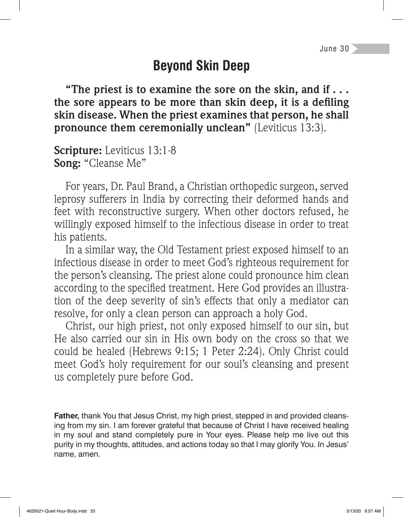# **Beyond Skin Deep**

**"The priest is to examine the sore on the skin, and if . . .**  the sore appears to be more than skin deep, it is a defiling **skin disease. When the priest examines that person, he shall pronounce them ceremonially unclean"** (Leviticus 13:3).

**Scripture:** Leviticus 13:1-8 **Song:** "Cleanse Me"

For years, Dr. Paul Brand, a Christian orthopedic surgeon, served leprosy sufferers in India by correcting their deformed hands and feet with reconstructive surgery. When other doctors refused, he willingly exposed himself to the infectious disease in order to treat his patients.

In a similar way, the Old Testament priest exposed himself to an infectious disease in order to meet God's righteous requirement for the person's cleansing. The priest alone could pronounce him clean according to the specified treatment. Here God provides an illustration of the deep severity of sin's effects that only a mediator can resolve, for only a clean person can approach a holy God.

Christ, our high priest, not only exposed himself to our sin, but He also carried our sin in His own body on the cross so that we could be healed (Hebrews 9:15; 1 Peter 2:24). Only Christ could meet God's holy requirement for our soul's cleansing and present us completely pure before God.

**Father,** thank You that Jesus Christ, my high priest, stepped in and provided cleansing from my sin. I am forever grateful that because of Christ I have received healing in my soul and stand completely pure in Your eyes. Please help me live out this purity in my thoughts, attitudes, and actions today so that I may glorify You. In Jesus' name, amen.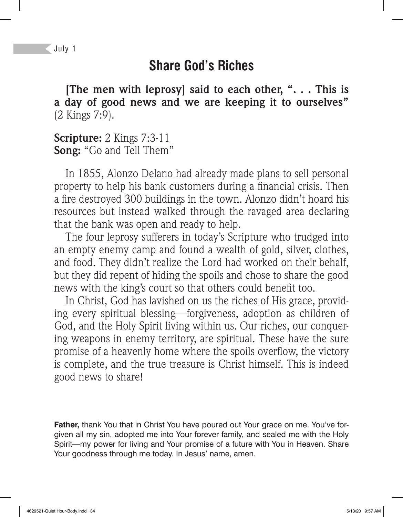#### **Share God's Riches**

**[The men with leprosy] said to each other, ". . . This is a day of good news and we are keeping it to ourselves"**  (2 Kings 7:9).

**Scripture:** 2 Kings 7:3-11 **Song:** "Go and Tell Them"

In 1855, Alonzo Delano had already made plans to sell personal property to help his bank customers during a financial crisis. Then a fire destroyed 300 buildings in the town. Alonzo didn't hoard his resources but instead walked through the ravaged area declaring that the bank was open and ready to help.

The four leprosy sufferers in today's Scripture who trudged into an empty enemy camp and found a wealth of gold, silver, clothes, and food. They didn't realize the Lord had worked on their behalf, but they did repent of hiding the spoils and chose to share the good news with the king's court so that others could benefit too.

In Christ, God has lavished on us the riches of His grace, providing every spiritual blessing—forgiveness, adoption as children of God, and the Holy Spirit living within us. Our riches, our conquering weapons in enemy territory, are spiritual. These have the sure promise of a heavenly home where the spoils overflow, the victory is complete, and the true treasure is Christ himself. This is indeed good news to share!

**Father,** thank You that in Christ You have poured out Your grace on me. You've forgiven all my sin, adopted me into Your forever family, and sealed me with the Holy Spirit—my power for living and Your promise of a future with You in Heaven. Share Your goodness through me today. In Jesus' name, amen.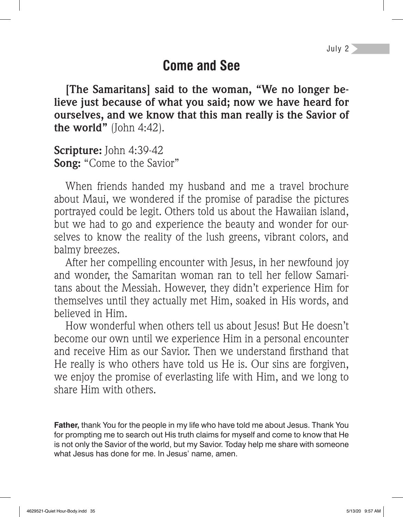### **Come and See**

**[The Samaritans] said to the woman, "We no longer believe just because of what you said; now we have heard for ourselves, and we know that this man really is the Savior of the world"** (John 4:42).

**Scripture:** John 4:39-42 **Song:** "Come to the Savior"

When friends handed my husband and me a travel brochure about Maui, we wondered if the promise of paradise the pictures portrayed could be legit. Others told us about the Hawaiian island, but we had to go and experience the beauty and wonder for ourselves to know the reality of the lush greens, vibrant colors, and balmy breezes.

After her compelling encounter with Jesus, in her newfound joy and wonder, the Samaritan woman ran to tell her fellow Samaritans about the Messiah. However, they didn't experience Him for themselves until they actually met Him, soaked in His words, and believed in Him.

How wonderful when others tell us about Jesus! But He doesn't become our own until we experience Him in a personal encounter and receive Him as our Savior. Then we understand firsthand that He really is who others have told us He is. Our sins are forgiven, we enjoy the promise of everlasting life with Him, and we long to share Him with others.

**Father,** thank You for the people in my life who have told me about Jesus. Thank You for prompting me to search out His truth claims for myself and come to know that He is not only the Savior of the world, but my Savior. Today help me share with someone what Jesus has done for me. In Jesus' name, amen.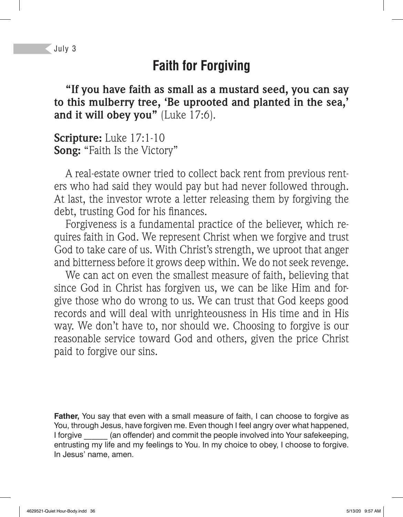## **Faith for Forgiving**

**"If you have faith as small as a mustard seed, you can say to this mulberry tree, 'Be uprooted and planted in the sea,'**  and it will obey you" (Luke 17:6).

**Scripture:** Luke 17:1-10 **Song:** "Faith Is the Victory"

A real-estate owner tried to collect back rent from previous renters who had said they would pay but had never followed through. At last, the investor wrote a letter releasing them by forgiving the debt, trusting God for his finances.

Forgiveness is a fundamental practice of the believer, which requires faith in God. We represent Christ when we forgive and trust God to take care of us. With Christ's strength, we uproot that anger and bitterness before it grows deep within. We do not seek revenge.

We can act on even the smallest measure of faith, believing that since God in Christ has forgiven us, we can be like Him and forgive those who do wrong to us. We can trust that God keeps good records and will deal with unrighteousness in His time and in His way. We don't have to, nor should we. Choosing to forgive is our reasonable service toward God and others, given the price Christ paid to forgive our sins.

**Father,** You say that even with a small measure of faith, I can choose to forgive as You, through Jesus, have forgiven me. Even though I feel angry over what happened, I forgive (an offender) and commit the people involved into Your safekeeping, entrusting my life and my feelings to You. In my choice to obey, I choose to forgive. In Jesus' name, amen.